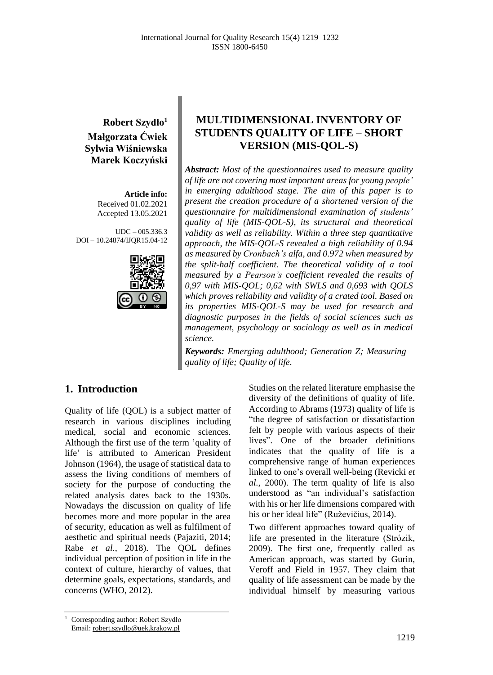**Robert Szydło<sup>1</sup> Małgorzata Ćwiek Sylwia Wiśniewska Marek Koczyński**

> **Article info:** Received 01.02.2021 Accepted 13.05.2021

UDC – 005.336.3 DOI – 10.24874/IJQR15.04-12



# **MULTIDIMENSIONAL INVENTORY OF STUDENTS QUALITY OF LIFE – SHORT VERSION (MIS-QOL-S)**

*Abstract: Most of the questionnaires used to measure quality of life are not covering most important areas for young people' in emerging adulthood stage. The aim of this paper is to present the creation procedure of a shortened version of the questionnaire for multidimensional examination of students' quality of life (MIS-QOL-S), its structural and theoretical validity as well as reliability. Within a three step quantitative approach, the MIS-QOL-S revealed a high reliability of 0.94 as measured by Cronbach's alfa, and 0.972 when measured by the split-half coefficient. The theoretical validity of a tool measured by a Pearson's coefficient revealed the results of 0,97 with MIS-QOL; 0,62 with SWLS and 0,693 with QOLS which proves reliability and validity of a crated tool. Based on its properties MIS-QOL-S may be used for research and diagnostic purposes in the fields of social sciences such as management, psychology or sociology as well as in medical science.*

*Keywords: Emerging adulthood; Generation Z; Measuring quality of life; Quality of life.*

### **1. Introduction**

Quality of life (QOL) is a subject matter of research in various disciplines including medical, social and economic sciences. Although the first use of the term 'quality of life' is attributed to American President Johnson (1964), the usage of statistical data to assess the living conditions of members of society for the purpose of conducting the related analysis dates back to the 1930s. Nowadays the discussion on quality of life becomes more and more popular in the area of security, education as well as fulfilment of aesthetic and spiritual needs (Pajaziti, 2014; Rabe *et al.*, 2018). The QOL defines individual perception of position in life in the context of culture, hierarchy of values, that determine goals, expectations, standards, and concerns (WHO, 2012).

Studies on the related literature emphasise the diversity of the definitions of quality of life. According to Abrams (1973) quality of life is "the degree of satisfaction or dissatisfaction felt by people with various aspects of their lives". One of the broader definitions indicates that the quality of life is a comprehensive range of human experiences linked to one's overall well-being (Revicki *et al.*, 2000). The term quality of life is also understood as "an individual's satisfaction with his or her life dimensions compared with his or her ideal life" (Ruževičius, 2014).

Two different approaches toward quality of life are presented in the literature (Strózik, 2009). The first one, frequently called as American approach, was started by Gurin, Veroff and Field in 1957. They claim that quality of life assessment can be made by the individual himself by measuring various

<sup>&</sup>lt;sup>1</sup> Corresponding author: Robert Szydło Email: robert.szydlo@uek.krakow.pl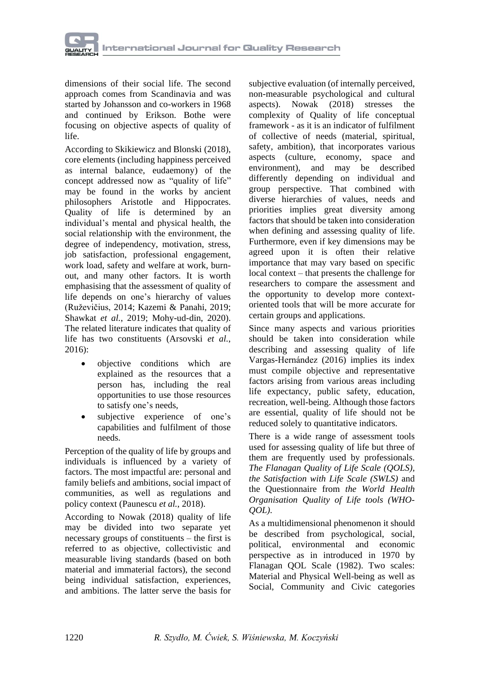

dimensions of their social life. The second approach comes from Scandinavia and was started by Johansson and co-workers in 1968 and continued by Erikson. Bothe were focusing on objective aspects of quality of life.

According to Skikiewicz and Blonski (2018), core elements (including happiness perceived as internal balance, eudaemony) of the concept addressed now as "quality of life" may be found in the works by ancient philosophers Aristotle and Hippocrates. Quality of life is determined by an individual's mental and physical health, the social relationship with the environment, the degree of independency, motivation, stress, job satisfaction, professional engagement, work load, safety and welfare at work, burnout, and many other factors. It is worth emphasising that the assessment of quality of life depends on one's hierarchy of values (Ruževičius, 2014; Kazemi & Panahi, 2019; Shawkat *et al.*, 2019; Mohy-ud-din, 2020). The related literature indicates that quality of life has two constituents (Arsovski *et al.*, 2016):

- objective conditions which are explained as the resources that a person has, including the real opportunities to use those resources to satisfy one's needs,
- subjective experience of one's capabilities and fulfilment of those needs.

Perception of the quality of life by groups and individuals is influenced by a variety of factors. The most impactful are: personal and family beliefs and ambitions, social impact of communities, as well as regulations and policy context (Paunescu *et al.*, 2018).

According to Nowak (2018) quality of life may be divided into two separate yet necessary groups of constituents – the first is referred to as objective, collectivistic and measurable living standards (based on both material and immaterial factors), the second being individual satisfaction, experiences, and ambitions. The latter serve the basis for

subjective evaluation (of internally perceived, non-measurable psychological and cultural aspects). Nowak (2018) stresses the complexity of Quality of life conceptual framework - as it is an indicator of fulfilment of collective of needs (material, spiritual, safety, ambition), that incorporates various aspects (culture, economy, space and environment), and may be described differently depending on individual and group perspective. That combined with diverse hierarchies of values, needs and priorities implies great diversity among factors that should be taken into consideration when defining and assessing quality of life. Furthermore, even if key dimensions may be agreed upon it is often their relative importance that may vary based on specific local context – that presents the challenge for researchers to compare the assessment and the opportunity to develop more contextoriented tools that will be more accurate for certain groups and applications.

Since many aspects and various priorities should be taken into consideration while describing and assessing quality of life Vargas-Hernández (2016) implies its index must compile objective and representative factors arising from various areas including life expectancy, public safety, education, recreation, well-being. Although those factors are essential, quality of life should not be reduced solely to quantitative indicators.

There is a wide range of assessment tools used for assessing quality of life but three of them are frequently used by professionals. *The Flanagan Quality of Life Scale (QOLS), the Satisfaction with Life Scale (SWLS)* and the Questionnaire from *the World Health Organisation Quality of Life tools (WHO-QOL).*

As a multidimensional phenomenon it should be described from psychological, social, political, environmental and economic perspective as in introduced in 1970 by Flanagan QOL Scale (1982). Two scales: Material and Physical Well-being as well as Social, Community and Civic categories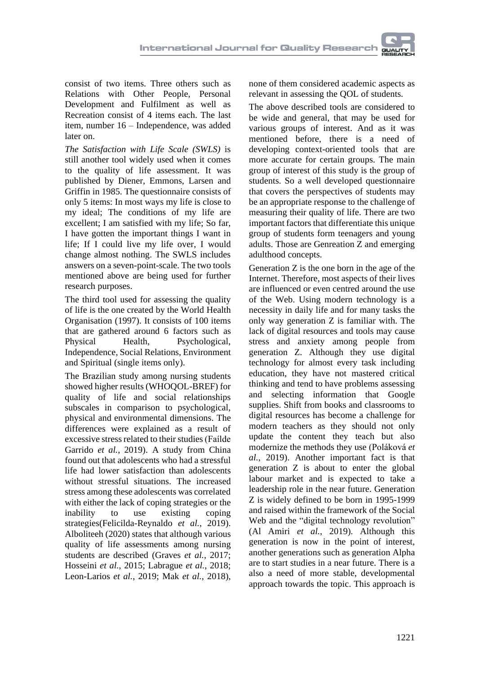consist of two items. Three others such as Relations with Other People, Personal Development and Fulfilment as well as Recreation consist of 4 items each. The last item, number 16 – Independence, was added later on.

*The Satisfaction with Life Scale (SWLS)* is still another tool widely used when it comes to the quality of life assessment. It was published by Diener, Emmons, Larsen and Griffin in 1985. The questionnaire consists of only 5 items: In most ways my life is close to my ideal; The conditions of my life are excellent; I am satisfied with my life; So far, I have gotten the important things I want in life; If I could live my life over, I would change almost nothing. The SWLS includes answers on a seven-point-scale. The two tools mentioned above are being used for further research purposes.

The third tool used for assessing the quality of life is the one created by the World Health Organisation (1997). It consists of 100 items that are gathered around 6 factors such as Physical Health, Psychological, Independence, Social Relations, Environment and Spiritual (single items only).

The Brazilian study among nursing students showed higher results (WHOQOL-BREF) for quality of life and social relationships subscales in comparison to psychological, physical and environmental dimensions. The differences were explained as a result of excessive stress related to their studies (Faílde Garrido *et al.*, 2019). A study from China found out that adolescents who had a stressful life had lower satisfaction than adolescents without stressful situations. The increased stress among these adolescents was correlated with either the lack of coping strategies or the inability to use existing coping strategies(Felicilda-Reynaldo *et al.*, 2019). Alboliteeh (2020) states that although various quality of life assessments among nursing students are described (Graves *et al.*, 2017; Hosseini *et al.*, 2015; Labrague *et al.*, 2018; Leon-Larios *et al.*, 2019; Mak *et al.*, 2018),

none of them considered academic aspects as relevant in assessing the QOL of students.

The above described tools are considered to be wide and general, that may be used for various groups of interest. And as it was mentioned before, there is a need of developing context-oriented tools that are more accurate for certain groups. The main group of interest of this study is the group of students. So a well developed questionnaire that covers the perspectives of students may be an appropriate response to the challenge of measuring their quality of life. There are two important factors that differentiate this unique group of students form teenagers and young adults. Those are Genreation Z and emerging adulthood concepts.

Generation Z is the one born in the age of the Internet. Therefore, most aspects of their lives are influenced or even centred around the use of the Web. Using modern technology is a necessity in daily life and for many tasks the only way generation Z is familiar with. The lack of digital resources and tools may cause stress and anxiety among people from generation Z. Although they use digital technology for almost every task including education, they have not mastered critical thinking and tend to have problems assessing and selecting information that Google supplies. Shift from books and classrooms to digital resources has become a challenge for modern teachers as they should not only update the content they teach but also modernize the methods they use (Poláková *et al.*, 2019). Another important fact is that generation Z is about to enter the global labour market and is expected to take a leadership role in the near future. Generation Z is widely defined to be born in 1995-1999 and raised within the framework of the Social Web and the "digital technology revolution" (Al Amiri *et al.*, 2019). Although this generation is now in the point of interest, another generations such as generation Alpha are to start studies in a near future. There is a also a need of more stable, developmental approach towards the topic. This approach is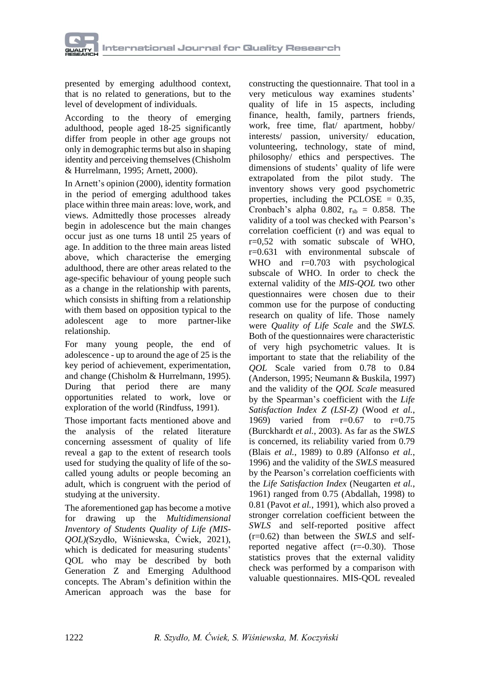

presented by emerging adulthood context, that is no related to generations, but to the level of development of individuals.

According to the theory of emerging adulthood, people aged 18-25 significantly differ from people in other age groups not only in demographic terms but also in shaping identity and perceiving themselves(Chisholm & Hurrelmann, 1995; Arnett, 2000).

In Arnett's opinion (2000), identity formation in the period of emerging adulthood takes place within three main areas: love, work, and views. Admittedly those processes already begin in adolescence but the main changes occur just as one turns 18 until 25 years of age. In addition to the three main areas listed above, which characterise the emerging adulthood, there are other areas related to the age-specific behaviour of young people such as a change in the relationship with parents, which consists in shifting from a relationship with them based on opposition typical to the adolescent age to more partner-like relationship.

For many young people, the end of adolescence - up to around the age of 25 is the key period of achievement, experimentation, and change (Chisholm & Hurrelmann, 1995). During that period there are many opportunities related to work, love or exploration of the world (Rindfuss, 1991).

Those important facts mentioned above and the analysis of the related literature concerning assessment of quality of life reveal a gap to the extent of research tools used for studying the quality of life of the socalled young adults or people becoming an adult, which is congruent with the period of studying at the university.

The aforementioned gap has become a motive for drawing up the *Multidimensional Inventory of Students Quality of Life (MIS-QOL)(*Szydło, Wiśniewska, Ćwiek, 2021), which is dedicated for measuring students' QOL who may be described by both Generation Z and Emerging Adulthood concepts. The Abram's definition within the American approach was the base for constructing the questionnaire. That tool in a very meticulous way examines students' quality of life in 15 aspects, including finance, health, family, partners friends, work, free time, flat/ apartment, hobby/ interests/ passion, university/ education, volunteering, technology, state of mind, philosophy/ ethics and perspectives. The dimensions of students' quality of life were extrapolated from the pilot study. The inventory shows very good psychometric properties, including the PCLOSE = 0.35, Cronbach's alpha 0.802,  $r_{sb} = 0.858$ . The validity of a tool was checked with Pearson's correlation coefficient (r) and was equal to r=0,52 with somatic subscale of WHO, r=0.631 with environmental subscale of WHO and r=0.703 with psychological subscale of WHO. In order to check the external validity of the *MIS-QOL* two other questionnaires were chosen due to their common use for the purpose of conducting research on quality of life. Those namely were *Quality of Life Scale* and the *SWLS.* Both of the questionnaires were characteristic of very high psychometric values. It is important to state that the reliability of the *QOL* Scale varied from 0.78 to 0.84 (Anderson, 1995; Neumann & Buskila, 1997) and the validity of the *QOL Scale* measured by the Spearman's coefficient with the *Life Satisfaction Index Z (LSI-Z)* (Wood *et al.*, 1969) varied from r=0.67 to r=0.75 (Burckhardt *et al.*, 2003). As far as the *SWLS* is concerned, its reliability varied from 0.79 (Blais *et al.*, 1989) to 0.89 (Alfonso *et al.*, 1996) and the validity of the *SWLS* measured by the Pearson's correlation coefficients with the *Life Satisfaction Index* (Neugarten *et al.*, 1961) ranged from 0.75 (Abdallah, 1998) to 0.81 (Pavot *et al.*, 1991), which also proved a stronger correlation coefficient between the *SWLS* and self-reported positive affect (r=0.62) than between the *SWLS* and selfreported negative affect (r=-0.30). Those statistics proves that the external validity check was performed by a comparison with valuable questionnaires. MIS-QOL revealed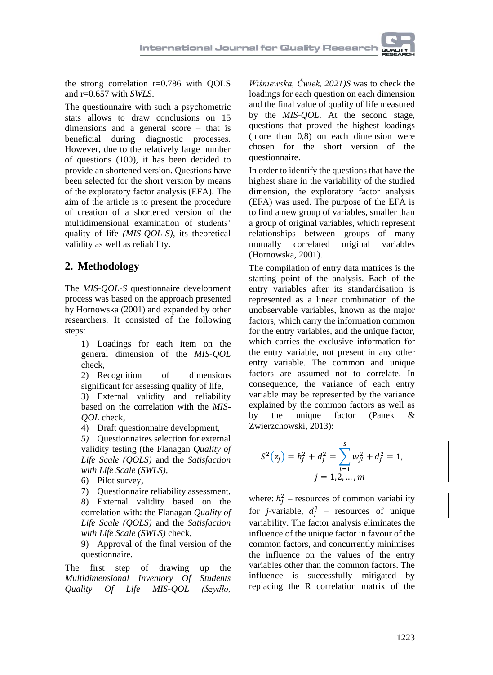the strong correlation r=0.786 with QOLS and r=0.657 with *SWLS*.

The questionnaire with such a psychometric stats allows to draw conclusions on 15 dimensions and a general score – that is beneficial during diagnostic processes. However, due to the relatively large number of questions (100), it has been decided to provide an shortened version. Questions have been selected for the short version by means of the exploratory factor analysis (EFA). The aim of the article is to present the procedure of creation of a shortened version of the multidimensional examination of students' quality of life *(MIS-QOL-S)*, its theoretical validity as well as reliability.

## **2. Methodology**

The *MIS-QOL-S* questionnaire development process was based on the approach presented by Hornowska (2001) and expanded by other researchers. It consisted of the following steps:

1) Loadings for each item on the general dimension of the *MIS-QOL* check,

2) Recognition of dimensions significant for assessing quality of life,

3) External validity and reliability based on the correlation with the *MIS-QOL* check,

4) Draft questionnaire development,

*5)* Questionnaires selection for external validity testing (the Flanagan *Quality of Life Scale (QOLS)* and the *Satisfaction with Life Scale (SWLS),*

6) Pilot survey,

7) Questionnaire reliability assessment, 8) External validity based on the correlation with: the Flanagan *Quality of Life Scale (QOLS)* and the *Satisfaction with Life Scale (SWLS)* check,

9) Approval of the final version of the questionnaire.

The first step of drawing up the *Multidimensional Inventory Of Students Quality Of Life MIS-QOL (Szydło,*

*Wiśniewska, Ćwiek, 2021)S* was to check the loadings for each question on each dimension and the final value of quality of life measured by the *MIS-QOL*. At the second stage, questions that proved the highest loadings (more than 0,8) on each dimension were chosen for the short version of the questionnaire.

In order to identify the questions that have the highest share in the variability of the studied dimension, the exploratory factor analysis (EFA) was used. The purpose of the EFA is to find a new group of variables, smaller than a group of original variables, which represent relationships between groups of many mutually correlated original variables (Hornowska, 2001).

The compilation of entry data matrices is the starting point of the analysis. Each of the entry variables after its standardisation is represented as a linear combination of the unobservable variables, known as the major factors, which carry the information common for the entry variables, and the unique factor, which carries the exclusive information for the entry variable, not present in any other entry variable. The common and unique factors are assumed not to correlate. In consequence, the variance of each entry variable may be represented by the variance explained by the common factors as well as by the unique factor (Panek & Zwierzchowski, 2013):

$$
S^{2}(z_{j}) = h_{j}^{2} + d_{j}^{2} = \sum_{l=1}^{s} w_{jl}^{2} + d_{j}^{2} = 1,
$$
  

$$
j = 1, 2, ..., m
$$

where:  $h_j^2$  – resources of common variability for *j*-variable,  $d_j^2$  – resources of unique variability. The factor analysis eliminates the influence of the unique factor in favour of the common factors, and concurrently minimises the influence on the values of the entry variables other than the common factors. The influence is successfully mitigated by replacing the R correlation matrix of the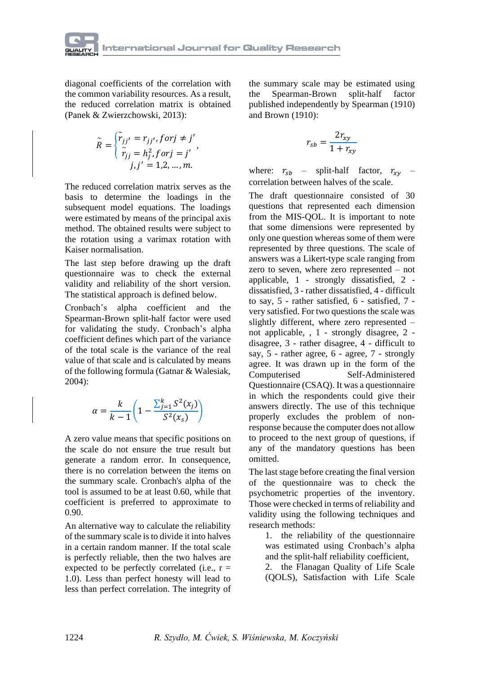

diagonal coefficients of the correlation with the common variability resources. As a result, the reduced correlation matrix is obtained (Panek & Zwierzchowski, 2013):

$$
\widetilde{R} = \begin{cases}\n\widetilde{r}_{jj'} = r_{jj'}, \text{for } j \neq j' \\
\widetilde{r}_{jj} = h_j^2, \text{for } j = j' \\
j, j' = 1, 2, \dots, m.\n\end{cases}
$$

The reduced correlation matrix serves as the basis to determine the loadings in the subsequent model equations. The loadings were estimated by means of the principal axis method. The obtained results were subject to the rotation using a varimax rotation with Kaiser normalisation.

The last step before drawing up the draft questionnaire was to check the external validity and reliability of the short version. The statistical approach is defined below.

Cronbach's alpha coefficient and the Spearman-Brown split-half factor were used for validating the study. Cronbach's alpha coefficient defines which part of the variance of the total scale is the variance of the real value of that scale and is calculated by means of the following formula (Gatnar & Walesiak, 2004):

$$
\alpha = \frac{k}{k-1} \left( 1 - \frac{\sum_{j=1}^{k} S^2(x_j)}{S^2(x_s)} \right)
$$

A zero value means that specific positions on the scale do not ensure the true result but generate a random error. In consequence, there is no correlation between the items on the summary scale. Cronbach's alpha of the tool is assumed to be at least 0.60, while that coefficient is preferred to approximate to 0.90.

An alternative way to calculate the reliability of the summary scale isto divide it into halves in a certain random manner. If the total scale is perfectly reliable, then the two halves are expected to be perfectly correlated (i.e.,  $r =$ 1.0). Less than perfect honesty will lead to less than perfect correlation. The integrity of

the summary scale may be estimated using the Spearman-Brown split-half factor published independently by Spearman (1910) and Brown (1910):

$$
r_{sb} = \frac{2r_{xy}}{1 + r_{xy}}
$$

where:  $r_{sb}$  – split-half factor,  $r_{xy}$  – correlation between halves of the scale.

The draft questionnaire consisted of 30 questions that represented each dimension from the MIS-QOL. It is important to note that some dimensions were represented by only one question whereas some of them were represented by three questions. The scale of answers was a Likert-type scale ranging from zero to seven, where zero represented – not applicable, 1 - strongly dissatisfied, 2 dissatisfied, 3 - rather dissatisfied, 4 - difficult to say, 5 - rather satisfied, 6 - satisfied, 7 very satisfied. For two questions the scale was slightly different, where zero represented – not applicable, , 1 - strongly disagree, 2 disagree, 3 - rather disagree, 4 - difficult to say, 5 - rather agree, 6 - agree, 7 - strongly agree. It was drawn up in the form of the Computerised Self-Administered Questionnaire (CSAQ). It was a questionnaire in which the respondents could give their answers directly. The use of this technique properly excludes the problem of nonresponse because the computer does not allow to proceed to the next group of questions, if any of the mandatory questions has been omitted.

The last stage before creating the final version of the questionnaire was to check the psychometric properties of the inventory. Those were checked in terms of reliability and validity using the following techniques and research methods:

1. the reliability of the questionnaire was estimated using Cronbach's alpha and the split-half reliability coefficient,

2. the Flanagan Quality of Life Scale (QOLS), Satisfaction with Life Scale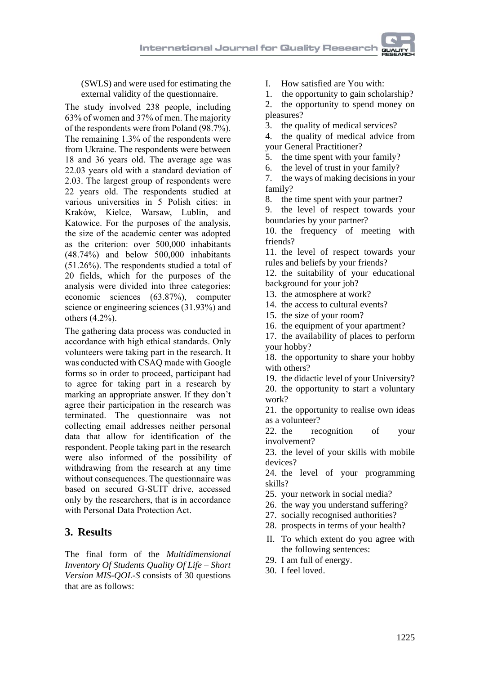(SWLS) and were used for estimating the external validity of the questionnaire.

The study involved 238 people, including 63% of women and 37% of men. The majority of the respondents were from Poland (98.7%). The remaining 1.3% of the respondents were from Ukraine. The respondents were between 18 and 36 years old. The average age was 22.03 years old with a standard deviation of 2.03. The largest group of respondents were 22 years old. The respondents studied at various universities in 5 Polish cities: in Kraków, Kielce, Warsaw, Lublin, and Katowice. For the purposes of the analysis, the size of the academic center was adopted as the criterion: over 500,000 inhabitants (48.74%) and below 500,000 inhabitants (51.26%). The respondents studied a total of 20 fields, which for the purposes of the analysis were divided into three categories: economic sciences (63.87%), computer science or engineering sciences (31.93%) and others (4.2%).

The gathering data process was conducted in accordance with high ethical standards. Only volunteers were taking part in the research. It was conducted with CSAQ made with Google forms so in order to proceed, participant had to agree for taking part in a research by marking an appropriate answer. If they don't agree their participation in the research was terminated. The questionnaire was not collecting email addresses neither personal data that allow for identification of the respondent. People taking part in the research were also informed of the possibility of withdrawing from the research at any time without consequences. The questionnaire was based on secured G-SUIT drive, accessed only by the researchers, that is in accordance with Personal Data Protection Act.

## **3. Results**

The final form of the *Multidimensional Inventory Of Students Quality Of Life – Short Version MIS-QOL-S* consists of 30 questions that are as follows:

- I. How satisfied are You with:
- 1. the opportunity to gain scholarship?
- 2. the opportunity to spend money on pleasures?
- 3. the quality of medical services?
- 4. the quality of medical advice from your General Practitioner?
- 5. the time spent with your family?
- 6. the level of trust in your family?
- 7. the ways of making decisions in your family?
- 8. the time spent with your partner?
- 9. the level of respect towards your boundaries by your partner?
- 10. the frequency of meeting with friends?
- 11. the level of respect towards your rules and beliefs by your friends?
- 12. the suitability of your educational background for your job?
- 13. the atmosphere at work?
- 14. the access to cultural events?
- 15. the size of your room?
- 16. the equipment of your apartment?
- 17. the availability of places to perform your hobby?
- 18. the opportunity to share your hobby with others?
- 19. the didactic level of your University? 20. the opportunity to start a voluntary work?
- 21. the opportunity to realise own ideas
- as a volunteer?<br>22. the rec recognition of your involvement?
- 23. the level of your skills with mobile devices?
- 24. the level of your programming skills?
- 25. your network in social media?
- 26. the way you understand suffering?
- 27. socially recognised authorities?
- 28. prospects in terms of your health?
- II. To which extent do you agree with the following sentences:
- 29. I am full of energy.
- 30. I feel loved.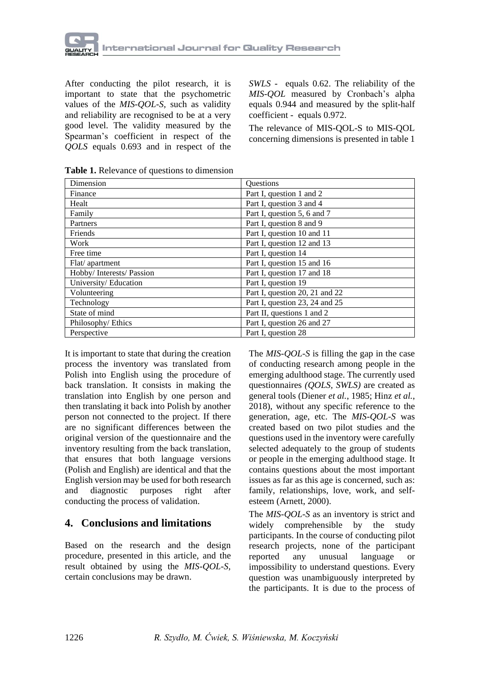

After conducting the pilot research, it is important to state that the psychometric values of the *MIS-QOL-S,* such as validity and reliability are recognised to be at a very good level. The validity measured by the Spearman's coefficient in respect of the *QOLS* equals 0.693 and in respect of the

*SWLS* - equals 0.62. The reliability of the *MIS-QOL* measured by Cronbach's alpha equals 0.944 and measured by the split-half coefficient - equals 0.972.

The relevance of MIS-QOL-S to MIS-QOL concerning dimensions is presented in table 1

| Dimension               | <b>Ouestions</b>               |  |
|-------------------------|--------------------------------|--|
| Finance                 | Part I, question 1 and 2       |  |
| Healt                   | Part I, question 3 and 4       |  |
| Family                  | Part I, question 5, 6 and 7    |  |
| Partners                | Part I, question 8 and 9       |  |
| Friends                 | Part I, question 10 and 11     |  |
| Work                    | Part I, question 12 and 13     |  |
| Free time               | Part I, question 14            |  |
| Flat/apartment          | Part I, question 15 and 16     |  |
| Hobby/Interests/Passion | Part I, question 17 and 18     |  |
| University/Education    | Part I, question 19            |  |
| Volunteering            | Part I, question 20, 21 and 22 |  |
| Technology              | Part I, question 23, 24 and 25 |  |
| State of mind           | Part II, questions 1 and 2     |  |
| Philosophy/Ethics       | Part I, question 26 and 27     |  |
| Perspective             | Part I, question 28            |  |

**Table 1.** Relevance of questions to dimension

It is important to state that during the creation process the inventory was translated from Polish into English using the procedure of back translation. It consists in making the translation into English by one person and then translating it back into Polish by another person not connected to the project. If there are no significant differences between the original version of the questionnaire and the inventory resulting from the back translation, that ensures that both language versions (Polish and English) are identical and that the English version may be used for both research and diagnostic purposes right after conducting the process of validation.

#### **4. Conclusions and limitations**

Based on the research and the design procedure, presented in this article, and the result obtained by using the *MIS-QOL-S,* certain conclusions may be drawn.

The *MIS-QOL-S* is filling the gap in the case of conducting research among people in the emerging adulthood stage. The currently used questionnaires *(QOLS, SWLS)* are created as general tools (Diener *et al.*, 1985; Hinz *et al.*, 2018), without any specific reference to the generation, age, etc. The *MIS-QOL-S* was created based on two pilot studies and the questions used in the inventory were carefully selected adequately to the group of students or people in the emerging adulthood stage. It contains questions about the most important issues as far as this age is concerned, such as: family, relationships, love, work, and selfesteem (Arnett, 2000).

The *MIS-QOL-S* as an inventory is strict and widely comprehensible by the study participants. In the course of conducting pilot research projects, none of the participant reported any unusual language or impossibility to understand questions. Every question was unambiguously interpreted by the participants. It is due to the process of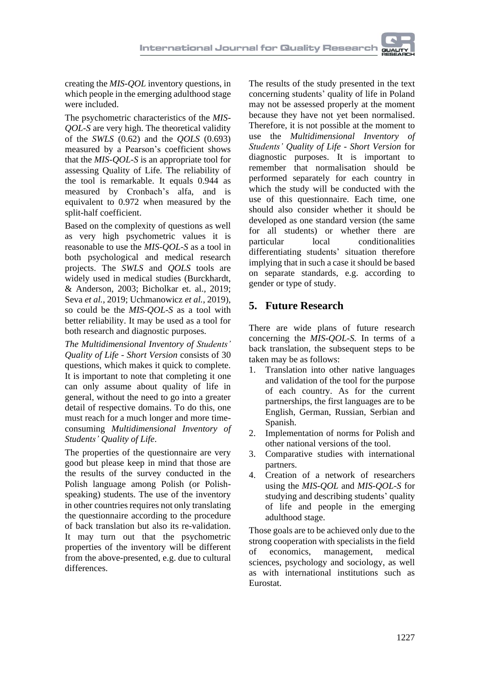creating the *MIS-QOL* inventory questions, in which people in the emerging adulthood stage were included.

The psychometric characteristics of the *MIS-QOL-S* are very high. The theoretical validity of the *SWLS* (0.62) and the *QOLS* (0.693) measured by a Pearson's coefficient shows that the *MIS-QOL-S* is an appropriate tool for assessing Quality of Life*.* The reliability of the tool is remarkable. It equals 0.944 as measured by Cronbach's alfa, and is equivalent to 0.972 when measured by the split-half coefficient.

Based on the complexity of questions as well as very high psychometric values it is reasonable to use the *MIS-QOL-S* as a tool in both psychological and medical research projects. The *SWLS* and *QOLS* tools are widely used in medical studies [\(Burckhardt,](https://hqlo.biomedcentral.com/articles/10.1186/1477-7525-1-60#auth-1) & Anderson, 2003; Bicholkar et. al., 2019; Seva *et al.*, 2019; Uchmanowicz *et al.*, 2019), so could be the *MIS-QOL-S* as a tool with better reliability. It may be used as a tool for both research and diagnostic purposes.

*The Multidimensional Inventory of Students' Quality of Life - Short Version* consists of 30 questions, which makes it quick to complete. It is important to note that completing it one can only assume about quality of life in general, without the need to go into a greater detail of respective domains. To do this, one must reach for a much longer and more timeconsuming *Multidimensional Inventory of Students' Quality of Life*.

The properties of the questionnaire are very good but please keep in mind that those are the results of the survey conducted in the Polish language among Polish (or Polishspeaking) students. The use of the inventory in other countries requires not only translating the questionnaire according to the procedure of back translation but also its re-validation. It may turn out that the psychometric properties of the inventory will be different from the above-presented, e.g. due to cultural differences.

The results of the study presented in the text concerning students' quality of life in Poland may not be assessed properly at the moment because they have not yet been normalised. Therefore, it is not possible at the moment to use the *Multidimensional Inventory of Students' Quality of Life - Short Version* for diagnostic purposes. It is important to remember that normalisation should be performed separately for each country in which the study will be conducted with the use of this questionnaire. Each time, one should also consider whether it should be developed as one standard version (the same for all students) or whether there are particular local conditionalities differentiating students' situation therefore implying that in such a case it should be based on separate standards, e.g. according to gender or type of study.

# **5. Future Research**

There are wide plans of future research concerning the *MIS-QOL-S.* In terms of a back translation, the subsequent steps to be taken may be as follows:

- 1. Translation into other native languages and validation of the tool for the purpose of each country. As for the current partnerships, the first languages are to be English, German, Russian, Serbian and Spanish.
- 2. Implementation of norms for Polish and other national versions of the tool.
- 3. Comparative studies with international partners.
- 4. Creation of a network of researchers using the *MIS-QOL* and *MIS-QOL-S* for studying and describing students' quality of life and people in the emerging adulthood stage.

Those goals are to be achieved only due to the strong cooperation with specialists in the field of economics, management, medical sciences, psychology and sociology, as well as with international institutions such as Eurostat.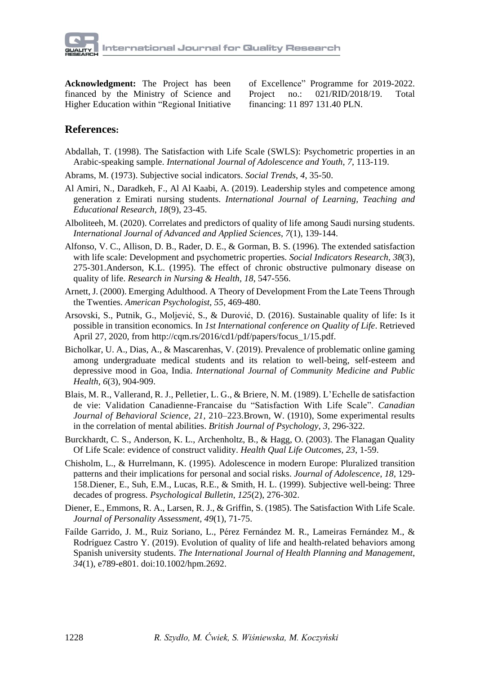

**Acknowledgment:** The Project has been financed by the Ministry of Science and Higher Education within "Regional Initiative of Excellence" Programme for 2019-2022. Project no.: 021/RID/2018/19. Total financing: 11 897 131.40 PLN.

### **References:**

- Abdallah, T. (1998). The Satisfaction with Life Scale (SWLS): Psychometric properties in an Arabic-speaking sample. *International Journal of Adolescence and Youth, 7*, 113-119.
- Abrams, M. (1973). Subjective social indicators. *Social Trends*, *4*, 35-50.
- Al Amiri, N., Daradkeh, F., Al Al Kaabi, A. (2019). Leadership styles and competence among generation z Emirati nursing students. *International Journal of Learning, Teaching and Educational Research*, *18*(9), 23-45.
- Alboliteeh, M. (2020). Correlates and predictors of quality of life among Saudi nursing students. *International Journal of Advanced and Applied Sciences*, *7*(1), 139-144.
- Alfonso, V. C., Allison, D. B., Rader, D. E., & Gorman, B. S. (1996). The extended satisfaction with life scale: Development and psychometric properties. *Social Indicators Research, 38*(3), 275-301.Anderson, K.L. (1995). The effect of chronic obstructive pulmonary disease on quality of life. *Research in Nursing & Health, 18*, 547-556.
- Arnett, J. (2000). Emerging Adulthood. A Theory of Development From the Late Teens Through the Twenties. *American Psychologist, 55*, 469-480.
- Arsovski, S., Putnik, G., Moljević, S., & Durović, D. (2016). Sustainable quality of life: Is it possible in transition economics. In *1st International conference on Quality of Life*. Retrieved April 27, 2020, from http://cqm.rs/2016/cd1/pdf/papers/focus\_1/15.pdf.
- Bicholkar, U. A., Dias, A., & Mascarenhas, V. (2019). Prevalence of problematic online gaming among undergraduate medical students and its relation to well-being, self-esteem and depressive mood in Goa, India. *International Journal of Community Medicine and Public Health, 6*(3)*,* 904-909.
- Blais, M. R., Vallerand, R. J., Pelletier, L. G., & Briere, N. M. (1989). L'Echelle de satisfaction de vie: Validation Canadienne-Francaise du "Satisfaction With Life Scale". *Canadian Journal of Behavioral Science, 21,* 210–223.Brown, W. (1910), Some experimental results in the correlation of mental abilities. *British Journal of Psychology*, *3*, 296-322.
- Burckhardt, C. S., Anderson, K. L., Archenholtz, B., & Hagg, O. (2003). The Flanagan Quality Of Life Scale: evidence of construct validity. *Health Qual Life Outcomes, 23*, 1-59.
- Chisholm, L., & Hurrelmann, K. (1995). Adolescence in modern Europe: Pluralized transition patterns and their implications for personal and social risks. *Journal of Adolescence*, *18*, 129- 158.Diener, E., Suh, E.M., Lucas, R.E., & Smith, H. L. (1999). Subjective well-being: Three decades of progress. *Psychological Bulletin*, *125*(2), 276-302.
- Diener, E., Emmons, R. A., Larsen, R. J., & Griffin, S. (1985). The Satisfaction With Life Scale. *Journal of Personality Assessment, 49*(1), 71-75.
- Faílde Garrido, J. M., Ruiz Soriano, L., Pérez Fernández M. R., Lameiras Fernández M., & Rodríguez Castro Y. (2019). Evolution of quality of life and health-related behaviors among Spanish university students. *The International Journal of Health Planning and Management*, *34*(1), e789-e801. doi:10.1002/hpm.2692.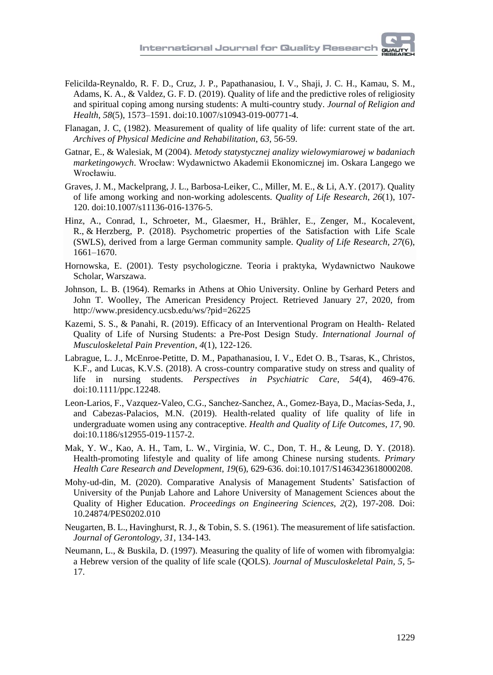- Felicilda-Reynaldo, R. F. D., Cruz, J. P., Papathanasiou, I. V., Shaji, J. C. H., Kamau, S. M., Adams, K. A., & Valdez, G. F. D. (2019). Quality of life and the predictive roles of religiosity and spiritual coping among nursing students: A multi-country study. *Journal of Religion and Health*, *58*(5), 1573–1591. doi:10.1007/s10943-019-00771-4.
- Flanagan, J. C, (1982). Measurement of quality of life quality of life: current state of the art. *Archives of Physical Medicine and [Rehabilitation](https://www.researchgate.net/journal/0003-9993_Archives_of_Physical_Medicine_and_Rehabilitation)*, *63*, 56-59.
- Gatnar, E., & Walesiak, M (2004). *Metody statystycznej analizy wielowymiarowej w badaniach marketingowych*. Wrocław: Wydawnictwo Akademii Ekonomicznej im. Oskara Langego we Wrocławiu.
- Graves, J. M., Mackelprang, J. L., Barbosa-Leiker, C., Miller, M. E., & Li, A.Y. (2017). Quality of life among working and non-working adolescents. *Quality of Life Research*, *26*(1), 107- 120. doi:10.1007/s11136-016-1376-5.
- Hinz, A., Conrad, I., Schroeter, M., Glaesmer, H., Brähler, E., Zenger, M., Kocalevent, R., & Herzberg, P. (2018). Psychometric properties of the Satisfaction with Life Scale (SWLS), derived from a large German community sample. *Quality of Life [Research,](https://link.springer.com/journal/11136) 27*(6), 1661–1670.
- Hornowska, E. (2001). Testy psychologiczne. Teoria i praktyka, Wydawnictwo Naukowe Scholar, Warszawa.
- Johnson, L. B. (1964). Remarks in Athens at Ohio University. Online by Gerhard Peters and John T. Woolley, The American Presidency Project. Retrieved January 27, 2020, from http://www.presidency.ucsb.edu/ws/?pid=26225
- Kazemi, S. S., & Panahi, R. (2019). Efficacy of an Interventional Program on Health- Related Quality of Life of Nursing Students: a Pre-Post Design Study*. International Journal of Musculoskeletal Pain Prevention*, *4*(1), 122-126.
- Labrague, L. J., McEnroe‐Petitte, D. M., Papathanasiou, I. V., Edet O. B., Tsaras, K., Christos, K.F., and Lucas, K.V.S. (2018). A cross‐country comparative study on stress and quality of life in nursing students. *Perspectives in Psychiatric Care*, *54*(4), 469-476. doi:10.1111/ppc.12248.
- Leon-Larios, F., Vazquez-Valeo, C.G., Sanchez-Sanchez, A., Gomez-Baya, D., Macías-Seda, J., and Cabezas-Palacios, M.N. (2019). Health-related quality of life quality of life in undergraduate women using any contraceptive. *Health and Quality of Life Outcomes*, *17*, 90. doi:10.1186/s12955-019-1157-2.
- Mak, Y. W., Kao, A. H., Tam, L. W., Virginia, W. C., Don, T. H., & Leung, D. Y. (2018). Health-promoting lifestyle and quality of life among Chinese nursing students. *Primary Health Care Research and Development*, *19*(6), 629-636. doi:10.1017/S1463423618000208.
- Mohy-ud-din, M. (2020). Comparative Analysis of Management Students' Satisfaction of University of the Punjab Lahore and Lahore University of Management Sciences about the Quality of Higher Education. *Proceedings on Engineering Sciences, 2*(2), 197-208. Doi: 10.24874/PES0202.010
- Neugarten, B. L., Havinghurst, R. J., & Tobin, S. S. (1961). The measurement of life satisfaction. *Journal of Gerontology, 31,* 134-143.
- Neumann, L., & Buskila, D. (1997). Measuring the quality of life of women with fibromyalgia: a Hebrew version of the quality of life scale (QOLS). *Journal of Musculoskeletal Pain, 5,* 5- 17.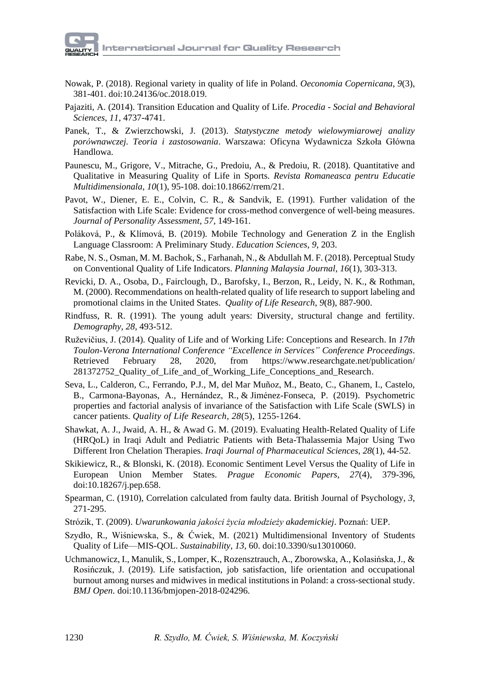- Nowak, P. (2018). Regional variety in quality of life in Poland. *Oeconomia Copernicana*, *9*(3), 381-401. doi:10.24136/oc.2018.019.
- Pajaziti, A. (2014). Transition Education and Quality of Life. *Procedia - Social and Behavioral Sciences*, *11*, 4737-4741.
- Panek, T., & Zwierzchowski, J. (2013). *Statystyczne metody wielowymiarowej analizy porównawczej. Teoria i zastosowania*. Warszawa: Oficyna Wydawnicza Szkoła Główna Handlowa.
- Paunescu, M., Grigore, V., Mitrache, G., Predoiu, A., & Predoiu, R. (2018). Quantitative and Qualitative in Measuring Quality of Life in Sports. *Revista Romaneasca pentru Educatie Multidimensionala*, *10*(1), 95-108. doi:10.18662/rrem/21.
- Pavot, W., Diener, E. E., Colvin, C. R., & Sandvik, E. (1991). Further validation of the Satisfaction with Life Scale: Evidence for cross-method convergence of well-being measures. *Journal of Personality Assessment, 57,* 149-161.
- Poláková, P., & Klímová, B. (2019). Mobile Technology and Generation Z in the English Language Classroom: A Preliminary Study. *Education Sciences*, *9*, 203.
- Rabe, N. S., Osman, M. M. Bachok, S., Farhanah, N., & Abdullah M. F. (2018). Perceptual Study on Conventional Quality of Life Indicators. *Planning Malaysia Journal*, *16*(1), 303-313.
- Revicki, D. A., Osoba, D., Fairclough, D., Barofsky, I., Berzon, R., Leidy, N. K., & Rothman, M. (2000). Recommendations on health-related quality of life research to support labeling and promotional claims in the United States. *Quality of Life Research*, *9*(8), 887-900.
- Rindfuss, R. R. (1991). The young adult years: Diversity, structural change and fertility. *Demography, 28,* 493-512.
- Ruževičius, J. (2014). Quality of Life and of Working Life: Conceptions and Research. In *17th Toulon-Verona International Conference "Excellence in Services" Conference Proceedings*. Retrieved February 28, 2020, from https://www.researchgate.net/publication/ 281372752\_Quality\_of\_Life\_and\_of\_Working\_Life\_Conceptions\_and\_Research.
- Seva, L., Calderon, C., Ferrando, P.J., M, del Mar Muñoz, M., Beato, C., Ghanem, I., Castelo, B., Carmona-Bayonas, A., Hernández, R., & Jiménez-Fonseca, P. (2019). Psychometric properties and factorial analysis of invariance of the Satisfaction with Life Scale (SWLS) in cancer patients. *Quality of Life [Research,](https://link.springer.com/journal/11136) 28*(5), 1255-1264.
- Shawkat, A. J., Jwaid, A. H., & Awad G. M. (2019). Evaluating Health-Related Quality of Life (HRQoL) in Iraqi Adult and Pediatric Patients with Beta-Thalassemia Major Using Two Different Iron Chelation Therapies. *Iraqi Journal of Pharmaceutical Sciences*, *28*(1), 44-52.
- Skikiewicz, R., & Blonski, K. (2018). Economic Sentiment Level Versus the Quality of Life in European Union Member States. *Prague Economic Papers*, *27*(4), 379-396, doi:10.18267/j.pep.658.
- Spearman, C. (1910), Correlation calculated from faulty data. British Journal of Psychology, *3*, 271-295.
- Strózik, T. (2009). *Uwarunkowania jakości życia młodzieży akademickiej*. Poznań: UEP.
- Szydło, R., Wiśniewska, S., & Ćwiek, M. (2021) Multidimensional Inventory of Students Quality of Life—MIS-QOL. *Sustainability*, *13*, 60. doi:10.3390/su13010060.
- Uchmanowicz, I., Manulik, S., Lomper, K., Rozensztrauch, A., Zborowska, A., Kolasińska,J., & Rosińczuk, J. (2019). Life satisfaction, job satisfaction, life orientation and occupational burnout among nurses and midwives in medical institutions in Poland: a cross-sectional study. *BMJ Open.* doi:10.1136/bmjopen-2018-024296.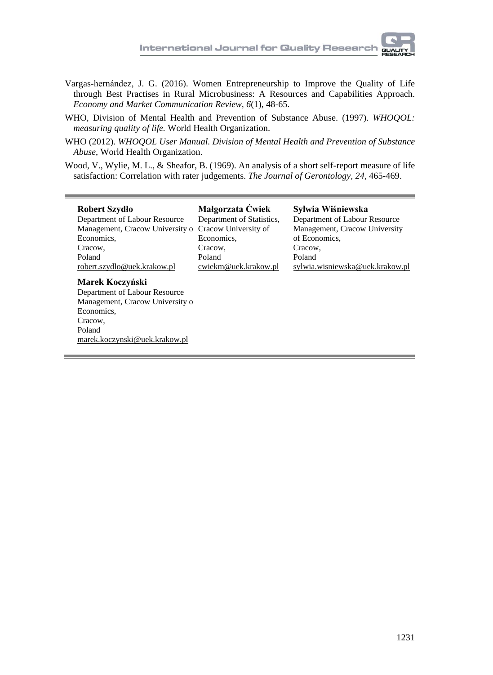- 
- Vargas-hernández, J. G. (2016). Women Entrepreneurship to Improve the Quality of Life through Best Practises in Rural Microbusiness: A Resources and Capabilities Approach. *Economy and Market Communication Review, 6*(1), 48-65.
- WHO, Division of Mental Health and Prevention of Substance Abuse. (1997). *WHOQOL: measuring quality of life.* World Health Organization.
- WHO (2012). *WHOQOL User Manual. Division of Mental Health and Prevention of Substance Abuse*, World Health Organization.
- Wood, V., Wylie, M. L., & Sheafor, B. (1969). An analysis of a short self-report measure of life satisfaction: Correlation with rater judgements. *The Journal of Gerontology, 24,* 465-469.

| Robert Szydło                    | Małgorzata Ćwiek          | Sylwia Wiśniewska               |
|----------------------------------|---------------------------|---------------------------------|
| Department of Labour Resource    | Department of Statistics, | Department of Labour Resource   |
| Management, Cracow University o  | Cracow University of      | Management, Cracow University   |
| Economics,                       | Economics,                | of Economics.                   |
| Cracow.                          | Cracow,                   | Cracow.                         |
| Poland                           | Poland                    | Poland                          |
| robert.szydlo@uek.krakow.pl      | cwiekm@uek.krakow.pl      | sylwia.wisniewska@uek.krakow.pl |
| Marek Koczyński                  |                           |                                 |
| Department of Labour Resource    |                           |                                 |
| Management, Cracow University of |                           |                                 |
| Economics,                       |                           |                                 |
| Cracow,                          |                           |                                 |
| Poland                           |                           |                                 |

[marek.koczynski@uek.krakow.pl](mailto:marek.koczynski@uek.krakow.pl)